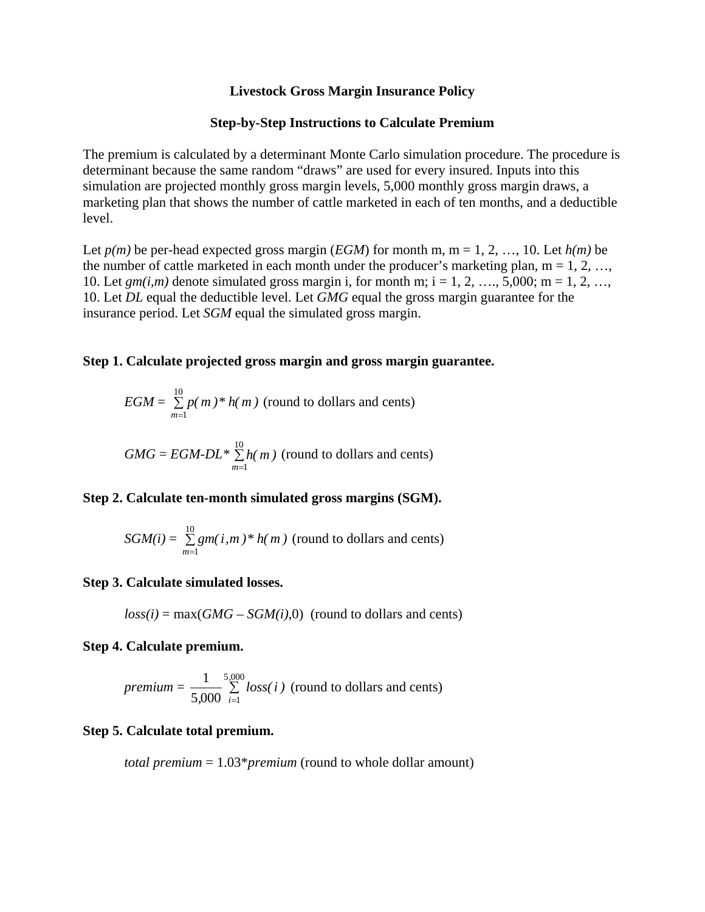#### **Livestock Gross Margin Insurance Policy**

#### **Step-by-Step Instructions to Calculate Premium**

The premium is calculated by a determinant Monte Carlo simulation procedure. The procedure is determinant because the same random "draws" are used for every insured. Inputs into this simulation are projected monthly gross margin levels, 5,000 monthly gross margin draws, a marketing plan that shows the number of cattle marketed in each of ten months, and a deductible level.

Let  $p(m)$  be per-head expected gross margin (*EGM*) for month m, m = 1, 2, ..., 10. Let  $h(m)$  be the number of cattle marketed in each month under the producer's marketing plan,  $m = 1, 2, ...,$ 10. Let  $\varrho m(i,m)$  denote simulated gross margin i, for month m; i = 1, 2, …, 5,000; m = 1, 2, …, 10. Let *DL* equal the deductible level. Let *GMG* equal the gross margin guarantee for the insurance period. Let *SGM* equal the simulated gross margin.

## **Step 1. Calculate projected gross margin and gross margin guarantee.**

$$
EGM = \sum_{m=1}^{10} p(m) * h(m)
$$
 (round to dollars and cents)  

$$
GMG = EGM \cdot DL * \sum_{m=1}^{10} h(m)
$$
 (round to dollars and cents)

## **Step 2. Calculate ten-month simulated gross margins (SGM).**

*m*=1

$$
SGM(i) = \sum_{m=1}^{10} gm(i, m) * h(m)
$$
 (round to dollars and cents)

#### **Step 3. Calculate simulated losses.**

 $loss(i) = max(GMG - SGM(i),0)$  (round to dollars and cents)

### **Step 4. Calculate premium.**

*premium* = 
$$
\frac{1}{5,000} \sum_{i=1}^{5,000} loss(i)
$$
 (round to dollars and cents)

#### **Step 5. Calculate total premium.**

 *total premium* = 1.03\**premium* (round to whole dollar amount)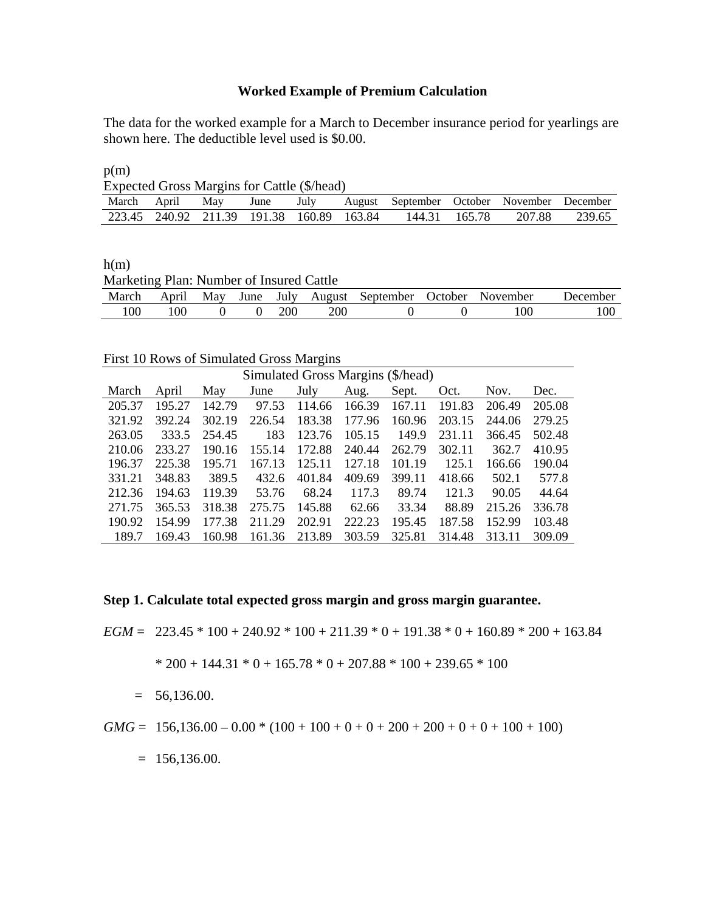## **Worked Example of Premium Calculation**

The data for the worked example for a March to December insurance period for yearlings are shown here. The deductible level used is \$0.00.

 $p(m)$ 

| Expected Gross Margins for Cattle (\$/head) |  |                                           |  |  |  |                                                                      |               |        |        |
|---------------------------------------------|--|-------------------------------------------|--|--|--|----------------------------------------------------------------------|---------------|--------|--------|
|                                             |  |                                           |  |  |  | March April May June July August September October November December |               |        |        |
|                                             |  | 223.45 240.92 211.39 191.38 160.89 163.84 |  |  |  |                                                                      | 144.31 165.78 | 207.88 | 239.65 |

 $h(m)$ Marketing Plan: Number of Insured Cattle March April May June July August September October November December 100 100 0 0 200 200 0 0 100 100

First 10 Rows of Simulated Gross Margins

| Simulated Gross Margins (\$/head) |        |        |        |        |        |        |        |        |        |
|-----------------------------------|--------|--------|--------|--------|--------|--------|--------|--------|--------|
| March                             | April  | May    | June   | July   | Aug.   | Sept.  | Oct.   | Nov.   | Dec.   |
| 205.37                            | 195.27 | 142.79 | 97.53  | 114.66 | 166.39 | 167.11 | 191.83 | 206.49 | 205.08 |
| 321.92                            | 392.24 | 302.19 | 226.54 | 183.38 | 177.96 | 160.96 | 203.15 | 244.06 | 279.25 |
| 263.05                            | 333.5  | 254.45 | 183    | 123.76 | 105.15 | 149.9  | 231.11 | 366.45 | 502.48 |
| 210.06                            | 233.27 | 190.16 | 155.14 | 172.88 | 240.44 | 262.79 | 302.11 | 362.7  | 410.95 |
| 196.37                            | 225.38 | 195.71 | 167.13 | 125.11 | 127.18 | 101.19 | 125.1  | 166.66 | 190.04 |
| 331.21                            | 348.83 | 389.5  | 432.6  | 401.84 | 409.69 | 399.11 | 418.66 | 502.1  | 577.8  |
| 212.36                            | 194.63 | 119.39 | 53.76  | 68.24  | 117.3  | 89.74  | 121.3  | 90.05  | 44.64  |
| 271.75                            | 365.53 | 318.38 | 275.75 | 145.88 | 62.66  | 33.34  | 88.89  | 215.26 | 336.78 |
| 190.92                            | 154.99 | 177.38 | 211.29 | 202.91 | 222.23 | 195.45 | 187.58 | 152.99 | 103.48 |
| 189.7                             | 169.43 | 160.98 | 161.36 | 213.89 | 303.59 | 325.81 | 314.48 | 313.11 | 309.09 |

**Step 1. Calculate total expected gross margin and gross margin guarantee.** 

*EGM* =  $223.45 * 100 + 240.92 * 100 + 211.39 * 0 + 191.38 * 0 + 160.89 * 200 + 163.84$ 

$$
* 200 + 144.31 * 0 + 165.78 * 0 + 207.88 * 100 + 239.65 * 100
$$

 $= 56,136.00.$ 

*GMG* = 156,136.00 – 0.00 \* (100 + 100 + 0 + 0 + 200 + 200 + 0 + 0 + 100 + 100)

 $= 156,136.00.$